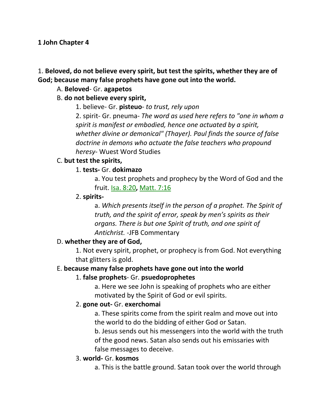#### **1 John Chapter 4**

## 1. **Beloved, do not believe every spirit, but test the spirits, whether they are of God; because many false prophets have gone out into the world.**

## A. **Beloved**- Gr. **agapetos**

## B. **do not believe every spirit,**

1. believe- Gr. **pisteuo**- *to trust, rely upon*

2. spirit- Gr. pneuma- *The word as used here refers to "one in whom a spirit is manifest or embodied, hence one actuated by a spirit, whether divine or demonical" (Thayer). Paul finds the source of false doctrine in demons who actuate the false teachers who propound heresy-* Wuest Word Studies

## C. **but test the spirits,**

## 1. **tests-** Gr. **dokimazo**

a. You test prophets and prophecy by the Word of God and the fruit. Isa. 8:20**,** Matt. 7:16

### 2. **spirits-**

a. *Which presents itself in the person of a prophet. The Spirit of truth, and the spirit of error, speak by men's spirits as their organs. There is but one Spirit of truth, and one spirit of Antichrist.* -JFB Commentary

### D. **whether they are of God,**

1. Not every spirit, prophet, or prophecy is from God. Not everything that glitters is gold.

### E. **because many false prophets have gone out into the world**

### 1. **false prophets**- Gr. **psuedoprophetes**

a. Here we see John is speaking of prophets who are either motivated by the Spirit of God or evil spirits.

### 2. **gone out-** Gr. **exerchomai**

a. These spirits come from the spirit realm and move out into the world to do the bidding of either God or Satan.

b. Jesus sends out his messengers into the world with the truth of the good news. Satan also sends out his emissaries with false messages to deceive.

### 3. **world-** Gr. **kosmos**

a. This is the battle ground. Satan took over the world through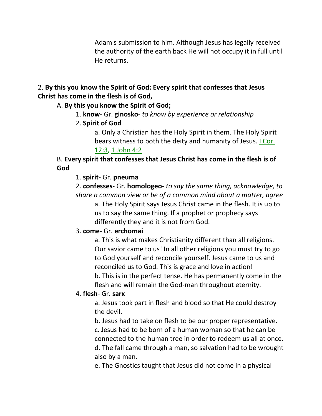Adam's submission to him. Although Jesus has legally received the authority of the earth back He will not occupy it in full until He returns.

## 2. **By this you know the Spirit of God: Every spirit that confesses that Jesus Christ has come in the flesh is of God,**

## A. **By this you know the Spirit of God;**

1. **know**- Gr. **ginosko**- *to know by experience or relationship*

# 2. **Spirit of God**

a. Only a Christian has the Holy Spirit in them. The Holy Spirit bears witness to both the deity and humanity of Jesus. I Cor. 12:3, 1 John 4:2

## B. **Every spirit that confesses that Jesus Christ has come in the flesh is of God**

## 1. **spirit**- Gr. **pneuma**

2. **confesses**- Gr. **homologeo**- *to say the same thing, acknowledge, to share a common view or be of a common mind about a matter, agree*

a. The Holy Spirit says Jesus Christ came in the flesh. It is up to us to say the same thing. If a prophet or prophecy says differently they and it is not from God.

# 3. **come**- Gr. **erchomai**

a. This is what makes Christianity different than all religions. Our savior came to us! In all other religions you must try to go to God yourself and reconcile yourself. Jesus came to us and reconciled us to God. This is grace and love in action! b. This is in the perfect tense. He has permanently come in the flesh and will remain the God-man throughout eternity.

### 4. **flesh**- Gr. **sarx**

a. Jesus took part in flesh and blood so that He could destroy the devil.

b. Jesus had to take on flesh to be our proper representative. c. Jesus had to be born of a human woman so that he can be connected to the human tree in order to redeem us all at once. d. The fall came through a man, so salvation had to be wrought also by a man.

e. The Gnostics taught that Jesus did not come in a physical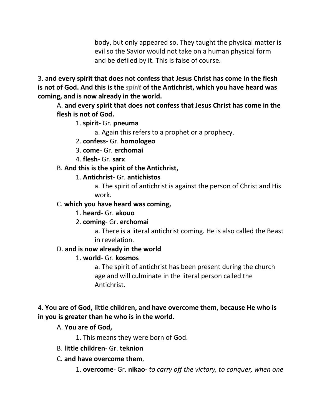body, but only appeared so. They taught the physical matter is evil so the Savior would not take on a human physical form and be defiled by it. This is false of course.

3. **and every spirit that does not confess that Jesus Christ has come in the flesh is not of God. And this is the** *spirit* **of the Antichrist, which you have heard was coming, and is now already in the world.**

A. **and every spirit that does not confess that Jesus Christ has come in the flesh is not of God.**

1. **spirit-** Gr. **pneuma**

a. Again this refers to a prophet or a prophecy.

- 2. **confess** Gr. **homologeo**
- 3. **come** Gr. **erchomai**
- 4. **flesh** Gr. **sarx**
- B. **And this is the spirit of the Antichrist,**
	- 1. **Antichrist** Gr. **antichistos**

a. The spirit of antichrist is against the person of Christ and His work.

# C. **which you have heard was coming,**

# 1. **heard**- Gr. **akouo**

# 2. **coming**- Gr. **erchomai**

a. There is a literal antichrist coming. He is also called the Beast in revelation.

# D. **and is now already in the world**

# 1. **world**- Gr. **kosmos**

a. The spirit of antichrist has been present during the church age and will culminate in the literal person called the Antichrist.

# 4. **You are of God, little children, and have overcome them, because He who is in you is greater than he who is in the world.**

# A. **You are of God,**

1. This means they were born of God.

# B. **little children**- Gr. **teknion**

# C. **and have overcome them**,

1. **overcome**- Gr. **nikao**- *to carry off the victory, to conquer, when one*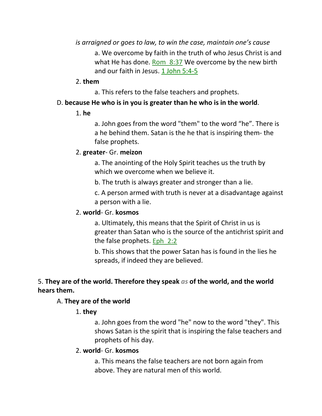*is arraigned or goes to law, to win the case, maintain one's cause* a. We overcome by faith in the truth of who Jesus Christ is and what He has done. Rom 8:37 We overcome by the new birth and our faith in Jesus. 1 John 5:4-5

#### 2. **them**

a. This refers to the false teachers and prophets.

#### D. **because He who is in you is greater than he who is in the world**.

1. **he**

a. John goes from the word "them" to the word "he". There is a he behind them. Satan is the he that is inspiring them- the false prophets.

#### 2. **greater**- Gr. **meizon**

a. The anointing of the Holy Spirit teaches us the truth by which we overcome when we believe it.

b. The truth is always greater and stronger than a lie.

c. A person armed with truth is never at a disadvantage against a person with a lie.

#### 2. **world**- Gr. **kosmos**

a. Ultimately, this means that the Spirit of Christ in us is greater than Satan who is the source of the antichrist spirit and the false prophets. Eph\_2:2

b. This shows that the power Satan has is found in the lies he spreads, if indeed they are believed.

# 5. **They are of the world. Therefore they speak** *as* **of the world, and the world hears them.**

### A. **They are of the world**

### 1. **they**

a. John goes from the word "he" now to the word "they". This shows Satan is the spirit that is inspiring the false teachers and prophets of his day.

#### 2. **world**- Gr. **kosmos**

a. This means the false teachers are not born again from above. They are natural men of this world.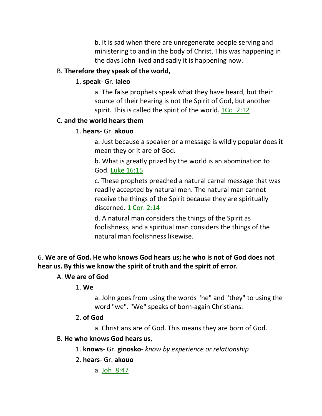b. It is sad when there are unregenerate people serving and ministering to and in the body of Christ. This was happening in the days John lived and sadly it is happening now.

### B. **Therefore they speak of the world,**

#### 1. **speak**- Gr. **laleo**

a. The false prophets speak what they have heard, but their source of their hearing is not the Spirit of God, but another spirit. This is called the spirit of the world. 1Co 2:12

#### C. **and the world hears them**

#### 1. **hears**- Gr. **akouo**

a. Just because a speaker or a message is wildly popular does it mean they or it are of God.

b. What is greatly prized by the world is an abomination to God. Luke 16:15

c. These prophets preached a natural carnal message that was readily accepted by natural men. The natural man cannot receive the things of the Spirit because they are spiritually discerned. 1 Cor. 2:14

d. A natural man considers the things of the Spirit as foolishness, and a spiritual man considers the things of the natural man foolishness likewise.

# 6. **We are of God. He who knows God hears us; he who is not of God does not hear us. By this we know the spirit of truth and the spirit of error.**

#### A. **We are of God**

#### 1. **We**

a. John goes from using the words "he" and "they" to using the word "we". "We" speaks of born-again Christians.

#### 2. **of God**

a. Christians are of God. This means they are born of God.

### B. **He who knows God hears us**,

1. **knows**- Gr. **ginosko**- *know by experience or relationship*

### 2. **hears**- Gr. **akouo**

a. Joh\_8:47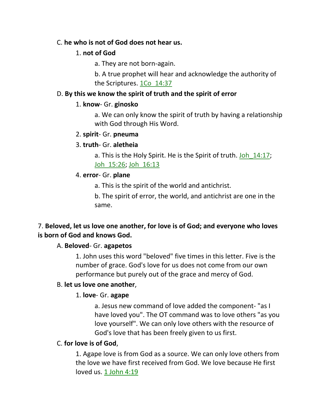### C. **he who is not of God does not hear us.**

## 1. **not of God**

a. They are not born-again.

b. A true prophet will hear and acknowledge the authority of the Scriptures. 1Co\_14:37

## D. **By this we know the spirit of truth and the spirit of error**

## 1. **know**- Gr. **ginosko**

a. We can only know the spirit of truth by having a relationship with God through His Word.

## 2. **spirit**- Gr. **pneuma**

## 3. **truth**- Gr. **aletheia**

a. This is the Holy Spirit. He is the Spirit of truth. Joh 14:17; Joh\_15:26; Joh\_16:13

## 4. **error**- Gr. **plane**

a. This is the spirit of the world and antichrist.

b. The spirit of error, the world, and antichrist are one in the same.

# 7. **Beloved, let us love one another, for love is of God; and everyone who loves is born of God and knows God.**

# A. **Beloved**- Gr. **agapetos**

1. John uses this word "beloved" five times in this letter. Five is the number of grace. God's love for us does not come from our own performance but purely out of the grace and mercy of God.

### B. **let us love one another**,

# 1. **love**- Gr. **agape**

a. Jesus new command of love added the component- "as I have loved you". The OT command was to love others "as you love yourself". We can only love others with the resource of God's love that has been freely given to us first.

### C. **for love is of God**,

1. Agape love is from God as a source. We can only love others from the love we have first received from God. We love because He first loved us. 1 John 4:19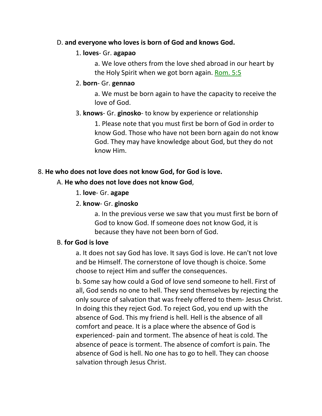### D. **and everyone who loves is born of God and knows God.**

#### 1. **loves**- Gr. **agapao**

a. We love others from the love shed abroad in our heart by the Holy Spirit when we got born again. Rom. 5:5

#### 2. **born**- Gr. **gennao**

a. We must be born again to have the capacity to receive the love of God.

#### 3. **knows**- Gr. **ginosko**- to know by experience or relationship

1. Please note that you must first be born of God in order to know God. Those who have not been born again do not know God. They may have knowledge about God, but they do not know Him.

#### 8. **He who does not love does not know God, for God is love.**

#### A. **He who does not love does not know God**,

1. **love**- Gr. **agape**

### 2. **know**- Gr. **ginosko**

a. In the previous verse we saw that you must first be born of God to know God. If someone does not know God, it is because they have not been born of God.

### B. **for God is love**

a. It does not say God has love. It says God is love. He can't not love and be Himself. The cornerstone of love though is choice. Some choose to reject Him and suffer the consequences.

b. Some say how could a God of love send someone to hell. First of all, God sends no one to hell. They send themselves by rejecting the only source of salvation that was freely offered to them- Jesus Christ. In doing this they reject God. To reject God, you end up with the absence of God. This my friend is hell. Hell is the absence of all comfort and peace. It is a place where the absence of God is experienced- pain and torment. The absence of heat is cold. The absence of peace is torment. The absence of comfort is pain. The absence of God is hell. No one has to go to hell. They can choose salvation through Jesus Christ.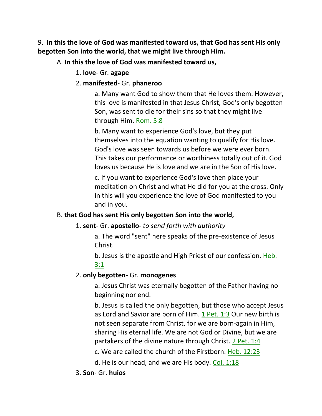9. **In this the love of God was manifested toward us, that God has sent His only begotten Son into the world, that we might live through Him.**

# A. **In this the love of God was manifested toward us,**

1. **love**- Gr. **agape** 

# 2. **manifested**- Gr. **phaneroo**

a. Many want God to show them that He loves them. However, this love is manifested in that Jesus Christ, God's only begotten Son, was sent to die for their sins so that they might live through Him. Rom. 5:8

b. Many want to experience God's love, but they put themselves into the equation wanting to qualify for His love. God's love was seen towards us before we were ever born. This takes our performance or worthiness totally out of it. God loves us because He is love and we are in the Son of His love.

c. If you want to experience God's love then place your meditation on Christ and what He did for you at the cross. Only in this will you experience the love of God manifested to you and in you.

# B. **that God has sent His only begotten Son into the world,**

# 1. **sent**- Gr. **apostello**- *to send forth with authority*

a. The word "sent" here speaks of the pre-existence of Jesus Christ.

b. Jesus is the apostle and High Priest of our confession. Heb. 3:1

# 2. **only begotten**- Gr. **monogenes**

a. Jesus Christ was eternally begotten of the Father having no beginning nor end.

b. Jesus is called the only begotten, but those who accept Jesus as Lord and Savior are born of Him. 1 Pet. 1:3 Our new birth is not seen separate from Christ, for we are born-again in Him, sharing His eternal life. We are not God or Divine, but we are partakers of the divine nature through Christ. 2 Pet. 1:4

c. We are called the church of the Firstborn. Heb. 12:23

d. He is our head, and we are His body. Col. 1:18

# 3. **Son**- Gr. **huios**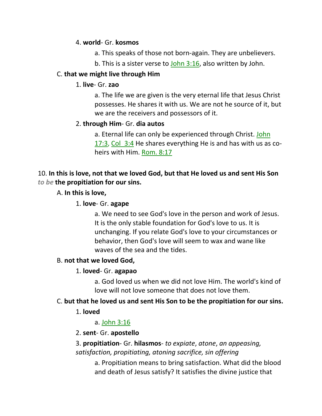#### 4. **world**- Gr. **kosmos**

- a. This speaks of those not born-again. They are unbelievers.
- b. This is a sister verse to John 3:16, also written by John.

## C. **that we might live through Him**

### 1. **live**- Gr. **zao**

a. The life we are given is the very eternal life that Jesus Christ possesses. He shares it with us. We are not he source of it, but we are the receivers and possessors of it.

## 2. **through Him**- Gr. **dia autos**

a. Eternal life can only be experienced through Christ. John 17:3, Col 3:4 He shares everything He is and has with us as coheirs with Him. Rom. 8:17

# 10. **In this is love, not that we loved God, but that He loved us and sent His Son**  *to be* **the propitiation for our sins.**

## A. **In this is love,**

# 1. **love**- Gr. **agape**

a. We need to see God's love in the person and work of Jesus. It is the only stable foundation for God's love to us. It is unchanging. If you relate God's love to your circumstances or behavior, then God's love will seem to wax and wane like waves of the sea and the tides.

### B. **not that we loved God,**

### 1. **loved**- Gr. **agapao**

a. God loved us when we did not love Him. The world's kind of love will not love someone that does not love them.

# C. **but that he loved us and sent His Son to be the propitiation for our sins.**

### 1. **loved**

# a. John 3:16

# 2. **sent**- Gr. **apostello**

3. **propitiation**- Gr. **hilasmos**- *to expiate*, *atone*, *an appeasing, satisfaction, propitiating, atoning sacrifice, sin offering*

> a. Propitiation means to bring satisfaction. What did the blood and death of Jesus satisfy? It satisfies the divine justice that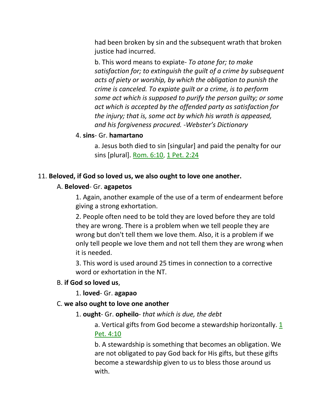had been broken by sin and the subsequent wrath that broken justice had incurred.

b. This word means to expiate- *To atone for; to make satisfaction for; to extinguish the guilt of a crime by subsequent acts of piety or worship, by which the obligation to punish the crime is canceled. To expiate guilt or a crime, is to perform some act which is supposed to purify the person guilty; or some act which is accepted by the offended party as satisfaction for the injury; that is, some act by which his wrath is appeased, and his forgiveness procured. -Webster's Dictionary*

#### 4. **sins**- Gr. **hamartano**

a. Jesus both died to sin [singular] and paid the penalty for our sins [plural]. Rom. 6:10, 1 Pet. 2:24

#### 11. **Beloved, if God so loved us, we also ought to love one another.**

#### A. **Beloved**- Gr. **agapetos**

1. Again, another example of the use of a term of endearment before giving a strong exhortation.

2. People often need to be told they are loved before they are told they are wrong. There is a problem when we tell people they are wrong but don't tell them we love them. Also, it is a problem if we only tell people we love them and not tell them they are wrong when it is needed.

3. This word is used around 25 times in connection to a corrective word or exhortation in the NT.

#### B. **if God so loved us**,

1. **loved**- Gr. **agapao**

#### C. **we also ought to love one another**

1. **ought**- Gr. **opheilo**- *that which is due, the debt*

a. Vertical gifts from God become a stewardship horizontally.  $1/2$ Pet. 4:10

b. A stewardship is something that becomes an obligation. We are not obligated to pay God back for His gifts, but these gifts become a stewardship given to us to bless those around us with.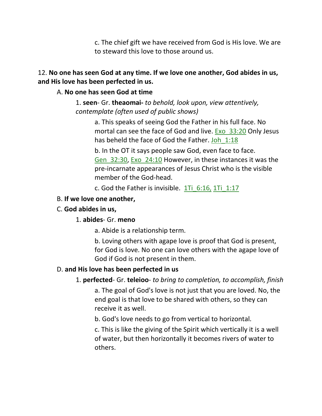c. The chief gift we have received from God is His love. We are to steward this love to those around us.

### 12. **No one has seen God at any time. If we love one another, God abides in us, and His love has been perfected in us.**

#### A. **No one has seen God at time**

1. **seen**- Gr. **theaomai-** *to behold, look upon, view attentively, contemplate (often used of public shows)*

a. This speaks of seeing God the Father in his full face. No mortal can see the face of God and live. Exo 33:20 Only Jesus has beheld the face of God the Father. Joh 1:18

b. In the OT it says people saw God, even face to face. Gen\_32:30, Exo\_24:10 However, in these instances it was the pre-incarnate appearances of Jesus Christ who is the visible member of the God-head.

c. God the Father is invisible.  $1Ti$  6:16, 1Ti 1:17

### B. **If we love one another,**

### C. **God abides in us,**

### 1. **abides**- Gr. **meno**

a. Abide is a relationship term.

b. Loving others with agape love is proof that God is present, for God is love. No one can love others with the agape love of God if God is not present in them.

# D. **and His love has been perfected in us**

### 1. **perfected**- Gr. **teleioo**- *to bring to completion, to accomplish, finish*

a. The goal of God's love is not just that you are loved. No, the end goal is that love to be shared with others, so they can receive it as well.

b. God's love needs to go from vertical to horizontal.

c. This is like the giving of the Spirit which vertically it is a well of water, but then horizontally it becomes rivers of water to others.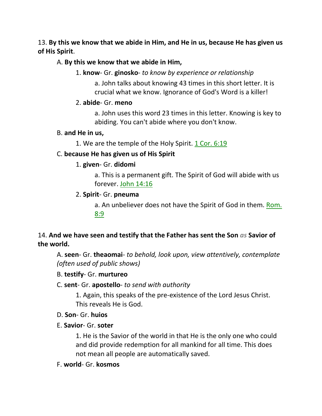13. **By this we know that we abide in Him, and He in us, because He has given us of His Spirit**.

# A. **By this we know that we abide in Him,**

1. **know**- Gr. **ginosko**- *to know by experience or relationship*

a. John talks about knowing 43 times in this short letter. It is crucial what we know. Ignorance of God's Word is a killer!

### 2. **abide**- Gr. **meno**

a. John uses this word 23 times in this letter. Knowing is key to abiding. You can't abide where you don't know.

### B. **and He in us,**

1. We are the temple of the Holy Spirit.  $1 \text{ Cor. } 6:19$ 

# C. **because He has given us of His Spirit**

# 1. **given**- Gr. **didomi**

a. This is a permanent gift. The Spirit of God will abide with us forever. John 14:16

# 2. **Spirit**- Gr. **pneuma**

a. An unbeliever does not have the Spirit of God in them. Rom. 8:9

# 14. **And we have seen and testify that the Father has sent the Son** *as* **Savior of the world.**

A. **seen**- Gr. **theaomai**- *to behold, look upon, view attentively, contemplate (often used of public shows)*

# B. **testify**- Gr. **murtureo**

# C. **sent**- Gr. **apostello**- *to send with authority*

1. Again, this speaks of the pre-existence of the Lord Jesus Christ. This reveals He is God.

### D. **Son**- Gr. **huios**

### E. **Savior**- Gr. **soter**

1. He is the Savior of the world in that He is the only one who could and did provide redemption for all mankind for all time. This does not mean all people are automatically saved.

### F. **world**- Gr. **kosmos**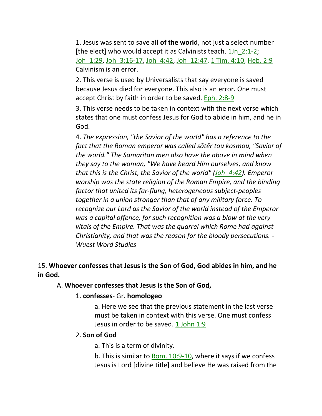1. Jesus was sent to save **all of the world**, not just a select number [the elect] who would accept it as Calvinists teach. 1Jn\_2:1-2; Joh\_1:29, Joh\_3:16-17, Joh\_4:42, Joh\_12:47, 1 Tim. 4:10, Heb. 2:9 Calvinism is an error.

2. This verse is used by Universalists that say everyone is saved because Jesus died for everyone. This also is an error. One must accept Christ by faith in order to be saved. Eph. 2:8-9

3. This verse needs to be taken in context with the next verse which states that one must confess Jesus for God to abide in him, and he in God.

4. *The expression, "the Savior of the world" has a reference to the fact that the Roman emperor was called sōtēr tou kosmou, "Savior of the world." The Samaritan men also have the above in mind when they say to the woman, "We have heard Him ourselves, and know that this is the Christ, the Savior of the world" (Joh\_4:42). Emperor worship was the state religion of the Roman Empire, and the binding factor that united its far-flung, heterogeneous subject-peoples together in a union stronger than that of any military force. To recognize our Lord as the Savior of the world instead of the Emperor was a capital offence, for such recognition was a blow at the very vitals of the Empire. That was the quarrel which Rome had against Christianity, and that was the reason for the bloody persecutions. - Wuest Word Studies*

# 15. **Whoever confesses that Jesus is the Son of God, God abides in him, and he in God.**

### A. **Whoever confesses that Jesus is the Son of God,**

#### 1. **confesses**- Gr. **homologeo**

a. Here we see that the previous statement in the last verse must be taken in context with this verse. One must confess Jesus in order to be saved. 1 John 1:9

### 2. **Son of God**

a. This is a term of divinity.

b. This is similar to Rom. 10:9-10, where it says if we confess Jesus is Lord [divine title] and believe He was raised from the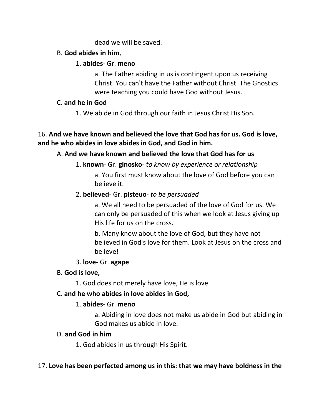#### dead we will be saved.

## B. **God abides in him**,

## 1. **abides**- Gr. **meno**

a. The Father abiding in us is contingent upon us receiving Christ. You can't have the Father without Christ. The Gnostics were teaching you could have God without Jesus.

## C. **and he in God**

1. We abide in God through our faith in Jesus Christ His Son.

# 16. **And we have known and believed the love that God has for us. God is love, and he who abides in love abides in God, and God in him.**

# A. **And we have known and believed the love that God has for us**

1. **known**- Gr. **ginosko**- *to know by experience or relationship*

a. You first must know about the love of God before you can believe it.

# 2. **believed**- Gr. **pisteuo**- *to be persuaded*

a. We all need to be persuaded of the love of God for us. We can only be persuaded of this when we look at Jesus giving up His life for us on the cross.

b. Many know about the love of God, but they have not believed in God's love for them. Look at Jesus on the cross and believe!

# 3. **love**- Gr. **agape**

# B. **God is love,**

1. God does not merely have love, He is love.

# C. **and he who abides in love abides in God,**

# 1. **abides**- Gr. **meno**

a. Abiding in love does not make us abide in God but abiding in God makes us abide in love.

# D. **and God in him**

1. God abides in us through His Spirit.

# 17. **Love has been perfected among us in this: that we may have boldness in the**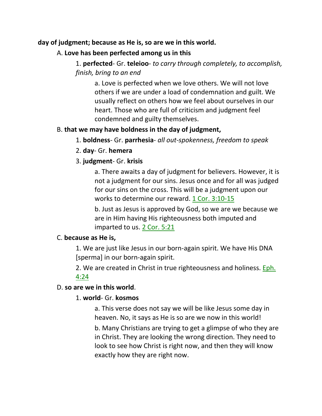### **day of judgment; because as He is, so are we in this world.**

### A. **Love has been perfected among us in this**

## 1. **perfected**- Gr. **teleioo**- *to carry through completely, to accomplish, finish, bring to an end*

a. Love is perfected when we love others. We will not love others if we are under a load of condemnation and guilt. We usually reflect on others how we feel about ourselves in our heart. Those who are full of criticism and judgment feel condemned and guilty themselves.

#### B. **that we may have boldness in the day of judgment,**

- 1. **boldness** Gr. **parrhesia** *all out-spokenness, freedom to speak*
- 2. **day** Gr. **hemera**

#### 3. **judgment**- Gr. **krisis**

a. There awaits a day of judgment for believers. However, it is not a judgment for our sins. Jesus once and for all was judged for our sins on the cross. This will be a judgment upon our works to determine our reward. 1 Cor. 3:10-15

b. Just as Jesus is approved by God, so we are we because we are in Him having His righteousness both imputed and imparted to us. 2 Cor. 5:21

#### C. **because as He is,**

1. We are just like Jesus in our born-again spirit. We have His DNA [sperma] in our born-again spirit.

2. We are created in Christ in true righteousness and holiness. Eph. 4:24

#### D. **so are we in this world**.

### 1. **world**- Gr. **kosmos**

a. This verse does not say we will be like Jesus some day in heaven. No, it says as He is so are we now in this world!

b. Many Christians are trying to get a glimpse of who they are in Christ. They are looking the wrong direction. They need to look to see how Christ is right now, and then they will know exactly how they are right now.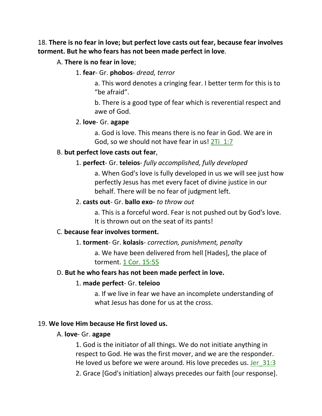18. **There is no fear in love; but perfect love casts out fear, because fear involves torment. But he who fears has not been made perfect in love**.

### A. **There is no fear in love**;

1. **fear**- Gr. **phobos**- *dread, terror*

a. This word denotes a cringing fear. I better term for this is to "be afraid".

b. There is a good type of fear which is reverential respect and awe of God.

#### 2. **love**- Gr. **agape**

a. God is love. This means there is no fear in God. We are in God, so we should not have fear in us! 2Ti\_1:7

#### B. **but perfect love casts out fear**,

#### 1. **perfect**- Gr. **teleios**- *fully accomplished, fully developed*

a. When God's love is fully developed in us we will see just how perfectly Jesus has met every facet of divine justice in our behalf. There will be no fear of judgment left.

#### 2. **casts out**- Gr. **ballo exo**- *to throw out*

a. This is a forceful word. Fear is not pushed out by God's love. It is thrown out on the seat of its pants!

#### C. **because fear involves torment.**

#### 1. **torment**- Gr. **kolasis**- *correction, punishment, penalty*

a. We have been delivered from hell [Hades], the place of torment. 1 Cor. 15:55

#### D. **But he who fears has not been made perfect in love.**

#### 1. **made perfect**- Gr. **teleioo**

a. If we live in fear we have an incomplete understanding of what Jesus has done for us at the cross.

#### 19. **We love Him because He first loved us.**

#### A. **love**- Gr. **agape**

1. God is the initiator of all things. We do not initiate anything in respect to God. He was the first mover, and we are the responder. He loved us before we were around. His love precedes us. Jer 31:3

2. Grace [God's initiation] always precedes our faith [our response].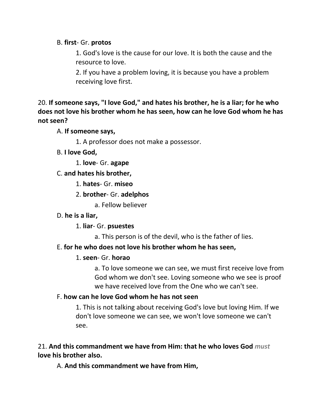### B. **first**- Gr. **protos**

1. God's love is the cause for our love. It is both the cause and the resource to love.

2. If you have a problem loving, it is because you have a problem receiving love first.

20. **If someone says, "I love God," and hates his brother, he is a liar; for he who does not love his brother whom he has seen, how can he love God whom he has not seen?** 

#### A. **If someone says,**

- 1. A professor does not make a possessor.
- B. **I love God,**
	- 1. **love** Gr. **agape**
- C. **and hates his brother,**
	- 1. **hates** Gr. **miseo**

### 2. **brother**- Gr. **adelphos**

a. Fellow believer

### D. **he is a liar,**

- 1. **liar** Gr. **psuestes**
	- a. This person is of the devil, who is the father of lies.

### E. **for he who does not love his brother whom he has seen,**

#### 1. **seen**- Gr. **horao**

a. To love someone we can see, we must first receive love from God whom we don't see. Loving someone who we see is proof we have received love from the One who we can't see.

#### F. **how can he love God whom he has not seen**

1. This is not talking about receiving God's love but loving Him. If we don't love someone we can see, we won't love someone we can't see.

21. **And this commandment we have from Him: that he who loves God** *must* **love his brother also.**

A. **And this commandment we have from Him,**